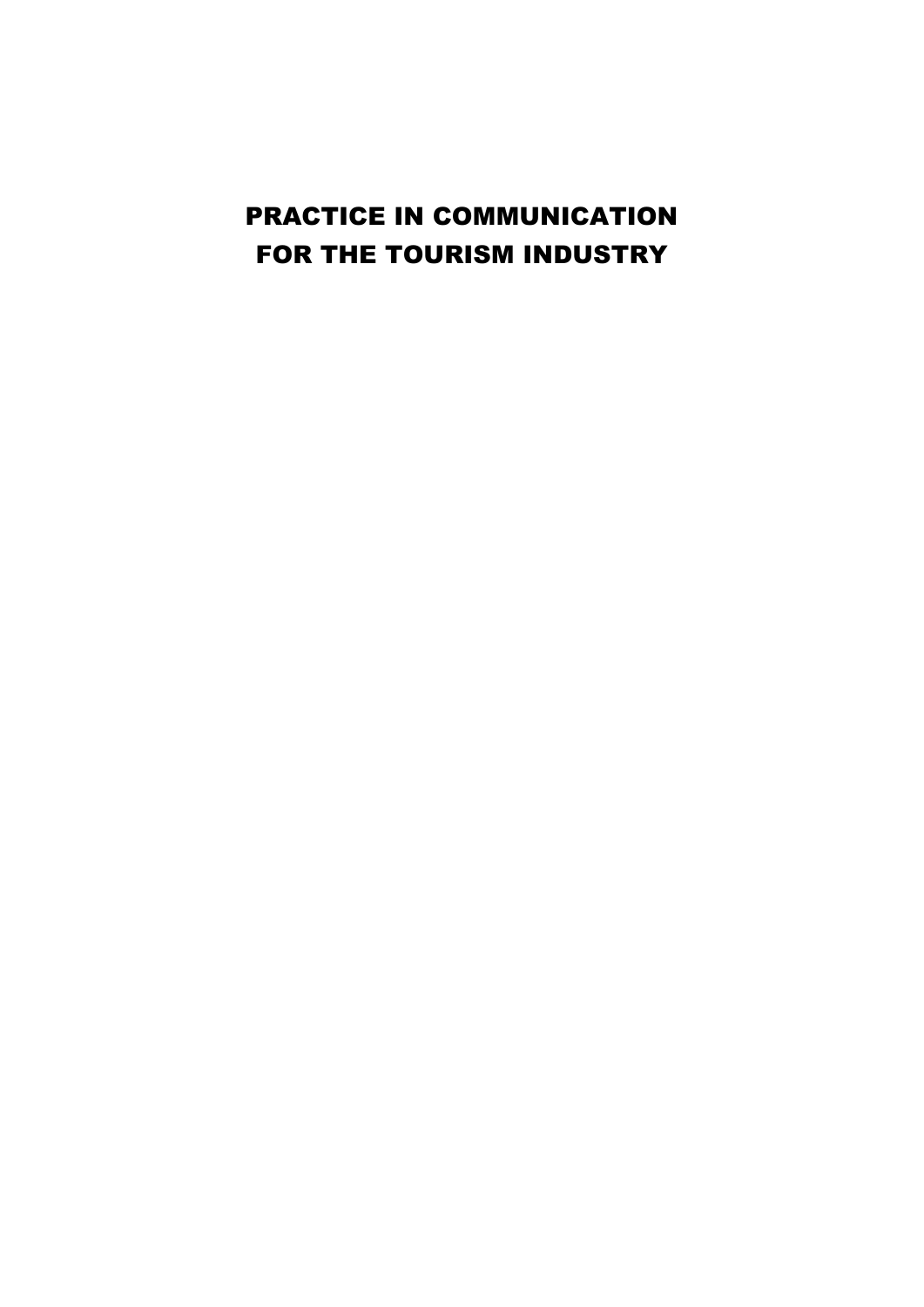# PRACTICE IN COMMUNICATION FOR THE TOURISM INDUSTRY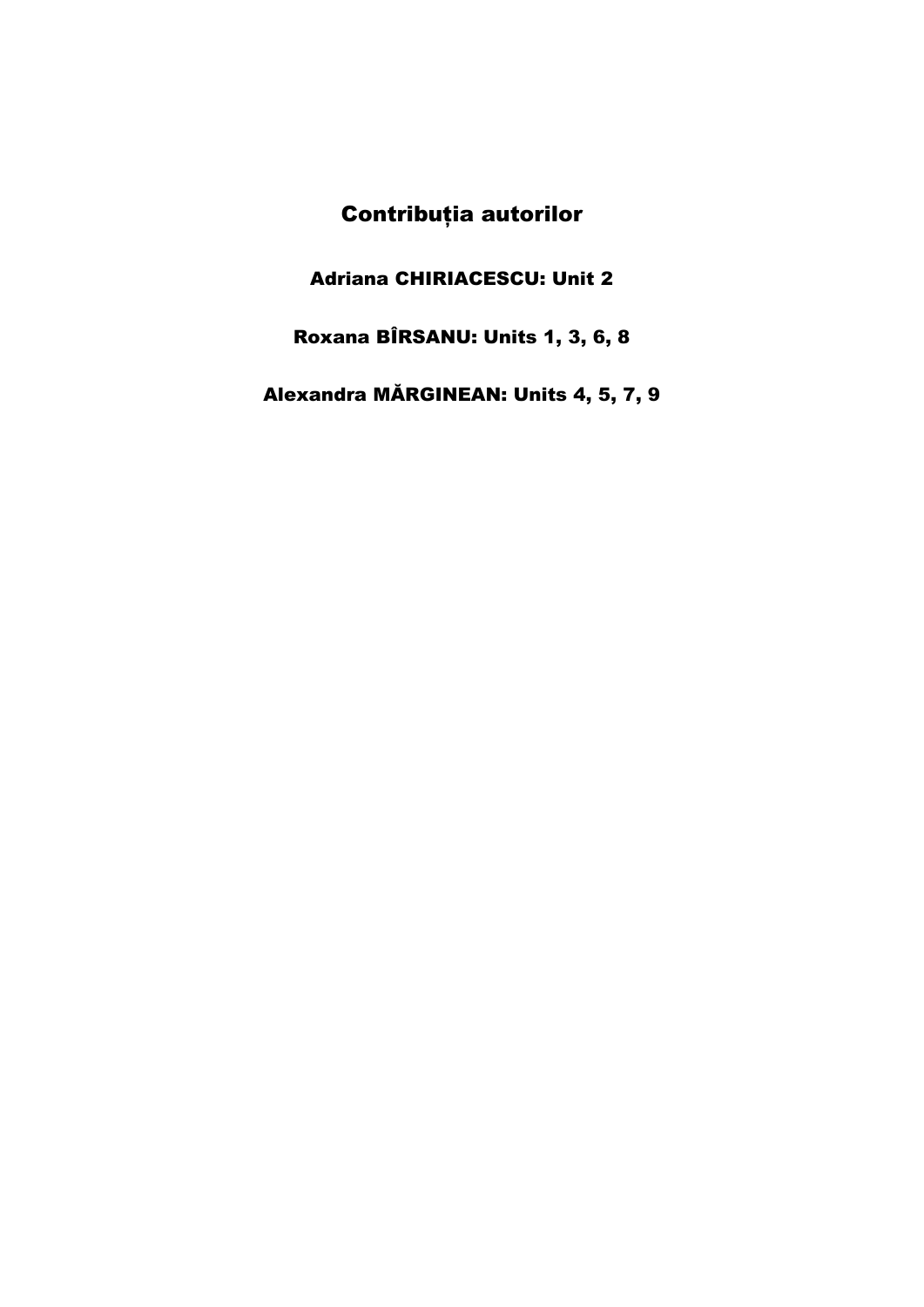# Contribuţia autorilor

Adriana CHIRIACESCU: Unit 2

Roxana BÎRSANU: Units 1, 3, 6, 8

Alexandra MĂRGINEAN: Units 4, 5, 7, 9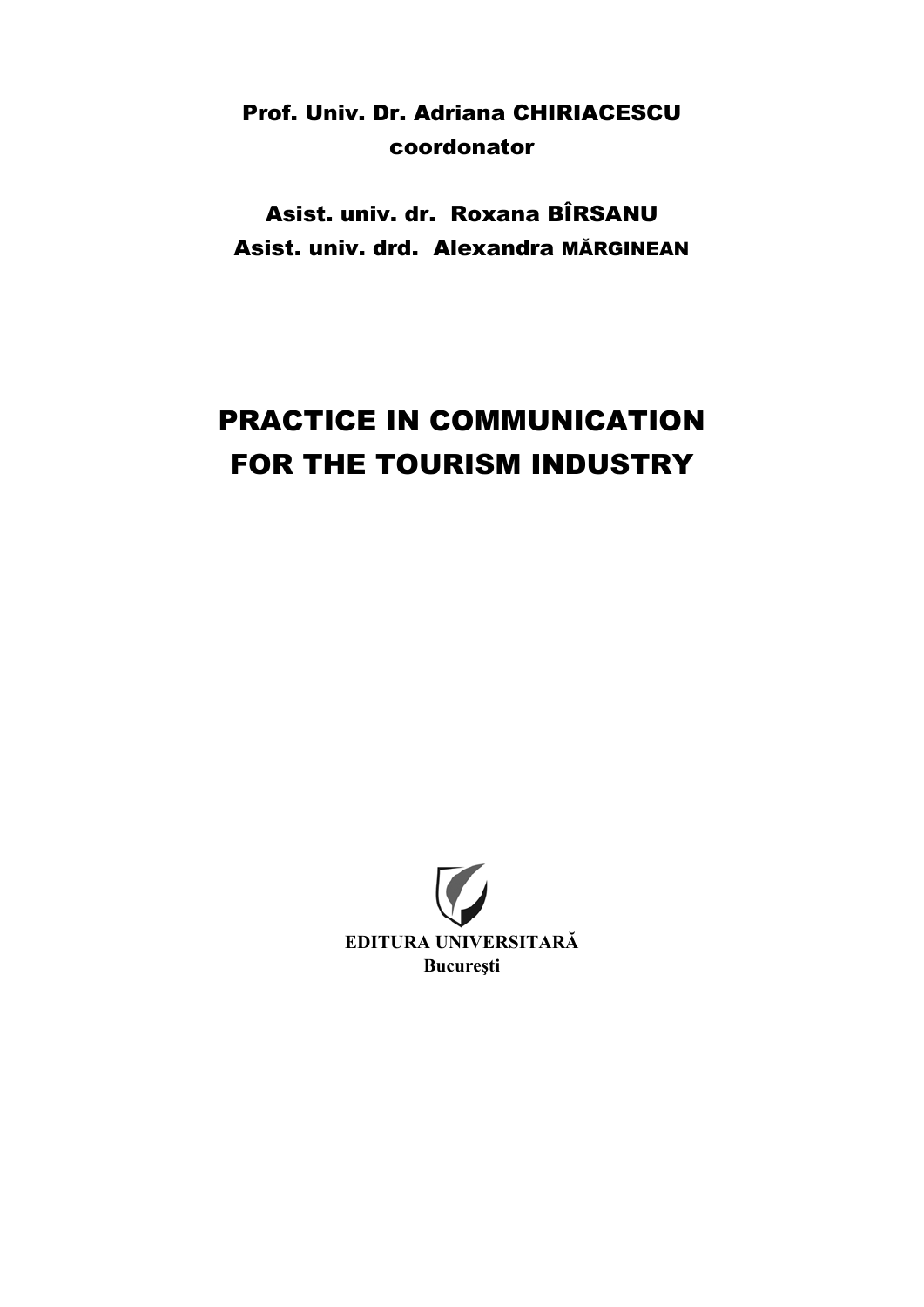# Prof. Univ. Dr. Adriana CHIRIACESCU coordonator

Asist. univ. dr. Roxana BÎRSANU Asist. univ. drd. Alexandra MĂRGINEAN

# PRACTICE IN COMMUNICATION FOR THE TOURISM INDUSTRY

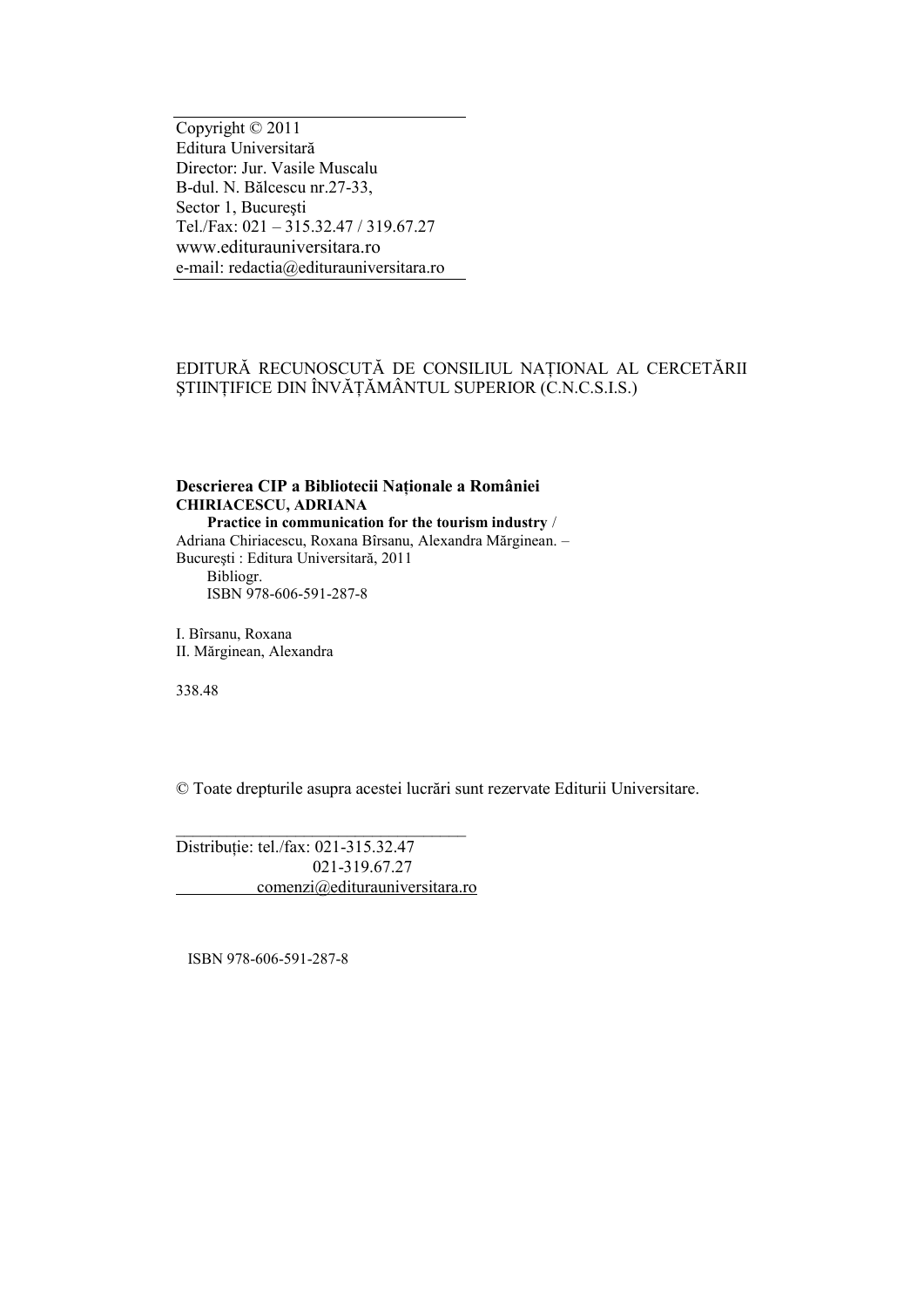Copyright © 2011 Editura Universitară Director: Jur. Vasile Muscalu B-dul. N. Bălcescu nr.27-33, Sector 1, Bucureşti Tel./Fax: 021 – 315.32.47 / 319.67.27 [www.editurauniversitara.ro](http://www.editurauniversitara.ro/) e-mail: [redactia@editurauniversitara.ro](mailto:editurauniversitara@edinfo.ro)

#### EDITURĂ RECUNOSCUTĂ DE CONSILIUL NAŢIONAL AL CERCETĂRII ŞTIINŢIFICE DIN ÎNVĂŢĂMÂNTUL SUPERIOR (C.N.C.S.I.S.)

#### **Descrierea CIP a Bibliotecii Naţionale a României CHIRIACESCU, ADRIANA**

 **Practice in communication for the tourism industry** / Adriana Chiriacescu, Roxana Bîrsanu, Alexandra Mărginean. – Bucureşti : Editura Universitară, 2011 Bibliogr.

ISBN 978-606-591-287-8

I. Bîrsanu, Roxana II. Mărginean, Alexandra

338.48

© Toate drepturile asupra acestei lucrări sunt rezervate Editurii Universitare.

Distribuţie: tel./fax: 021-315.32.47 021-319.67.27 [comenzi@editurauniversitara.ro](mailto:comenzi@editurauniversitara.ro)

\_\_\_\_\_\_\_\_\_\_\_\_\_\_\_\_\_\_\_\_\_\_\_\_\_\_\_\_\_\_\_\_\_\_

ISBN 978-606-591-287-8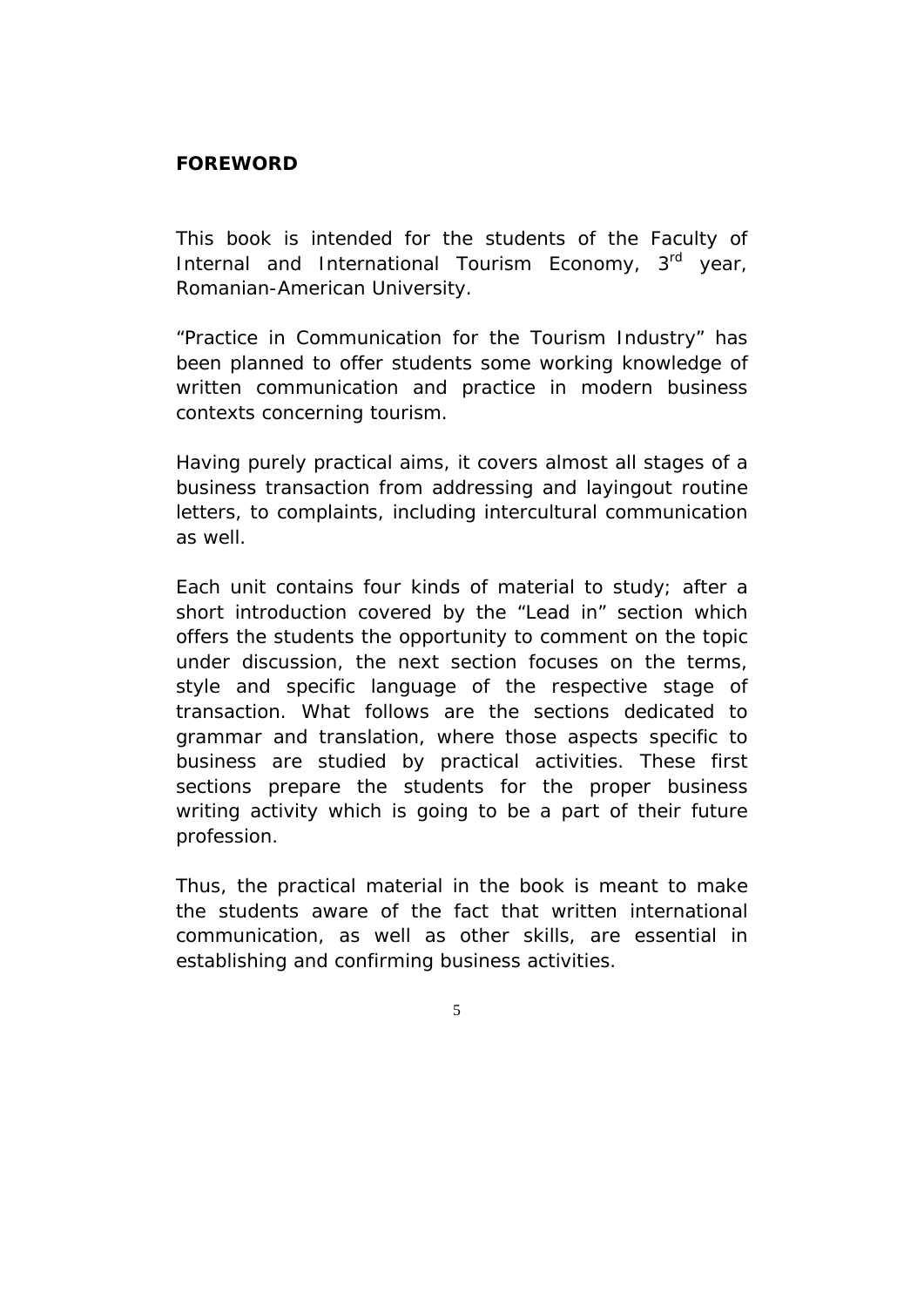#### **FOREWORD**

This book is intended for the students of the Faculty of Internal and International Tourism Economy, 3rd year, Romanian-American University.

"*Practice in Communication for the Tourism Industry*" has been planned to offer students some working knowledge of written communication and practice in modern business contexts concerning tourism.

Having purely practical aims, it covers almost all stages of a business transaction from addressing and layingout routine letters, to complaints, including intercultural communication as well.

Each unit contains four kinds of material to study; after a short introduction covered by the "*Lead in*" section which offers the students the opportunity to comment on the topic under discussion, the next section focuses on the terms, style and specific language of the respective stage of transaction. What follows are the sections dedicated to grammar and translation, where those aspects specific to business are studied by practical activities. These first sections prepare the students for the proper business writing activity which is going to be a part of their future profession.

Thus, the practical material in the book is meant to make the students aware of the fact that written international communication, as well as other skills, are essential in establishing and confirming business activities.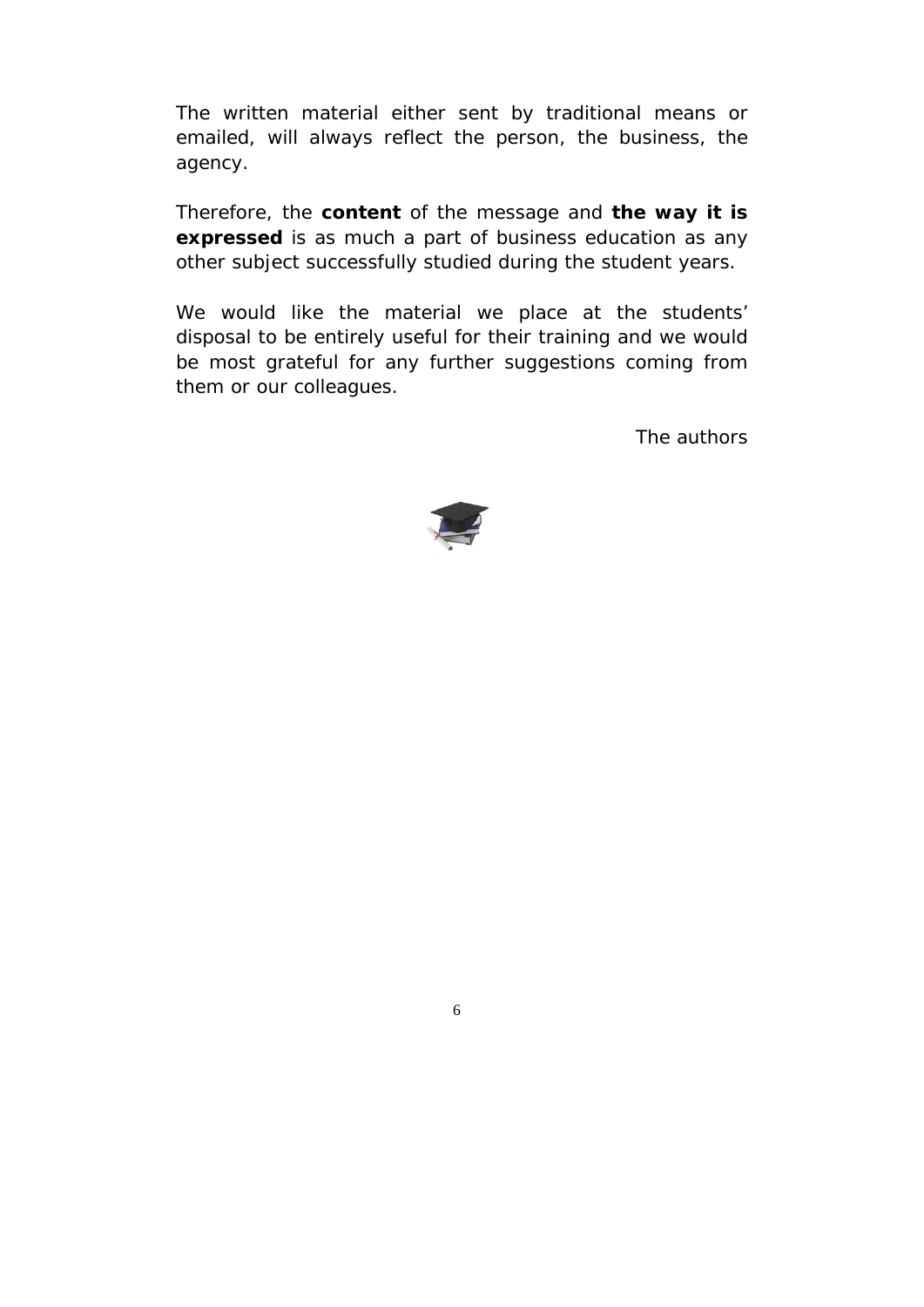The written material either sent by traditional means or emailed, will always reflect the person, the business, the agency.

Therefore, the **content** of the message and **the way it is expressed** is as much a part of business education as any other subject successfully studied during the student years.

We would like the material we place at the students' disposal to be entirely useful for their training and we would be most grateful for any further suggestions coming from them or our colleagues.

The authors

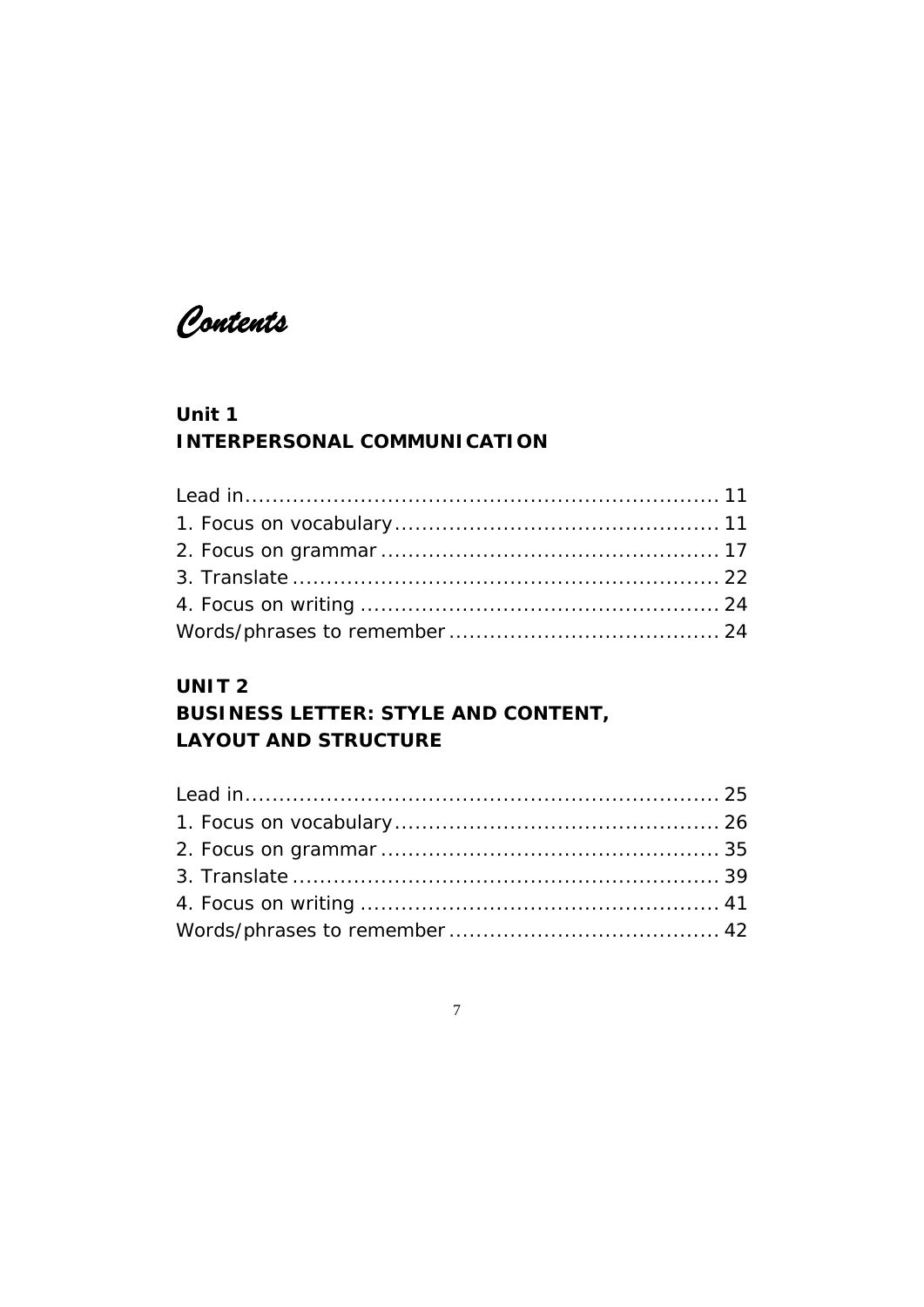*Contents* 

### **Unit 1 INTERPERSONAL COMMUNICATION**

### **UNIT 2**

### **BUSINESS LETTER: STYLE AND CONTENT, LAYOUT AND STRUCTURE**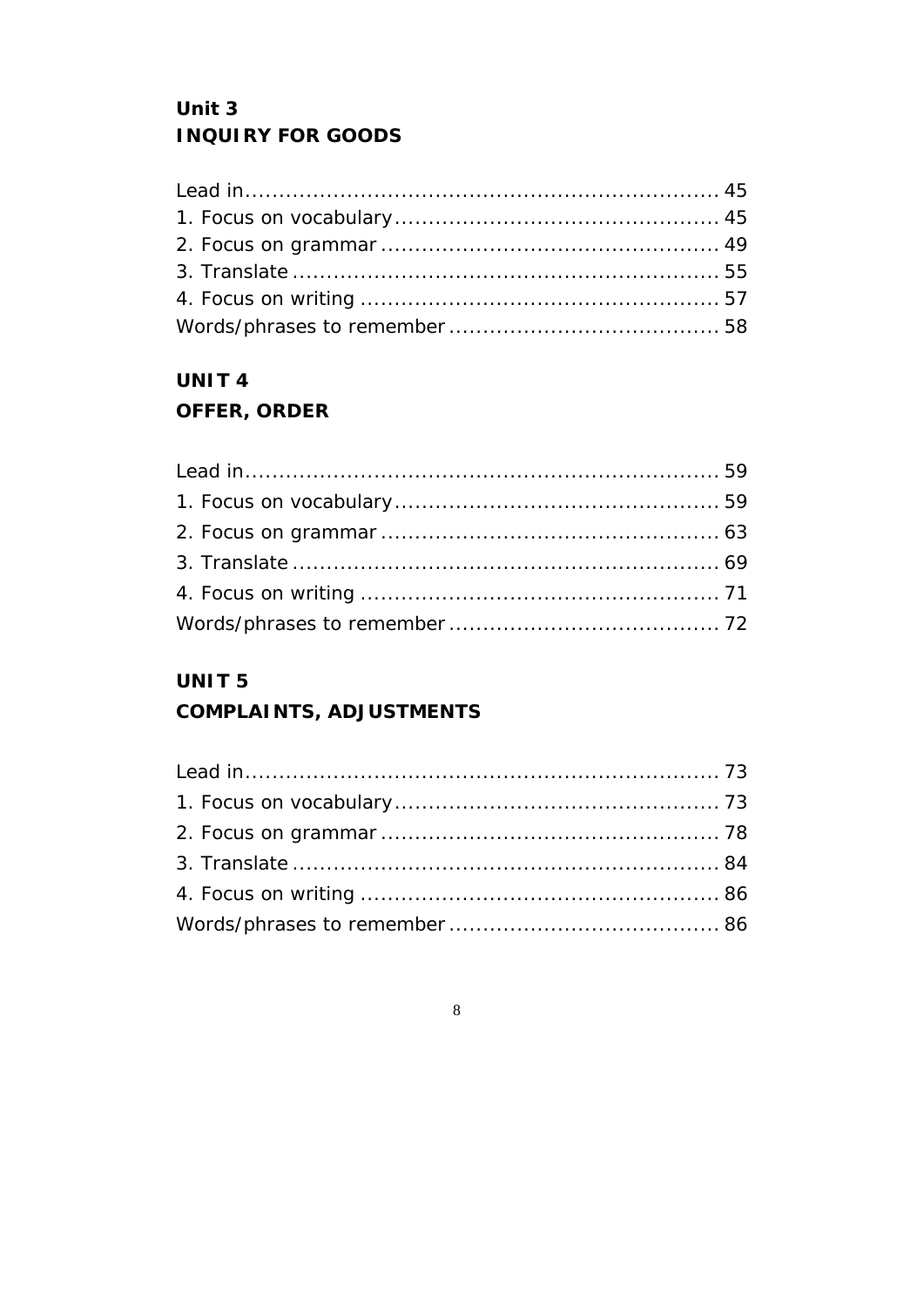## Unit 3 **INQUIRY FOR GOODS**

# **UNIT4**

### **OFFER, ORDER**

### UNIT<sub>5</sub>

### **COMPLAINTS, ADJUSTMENTS**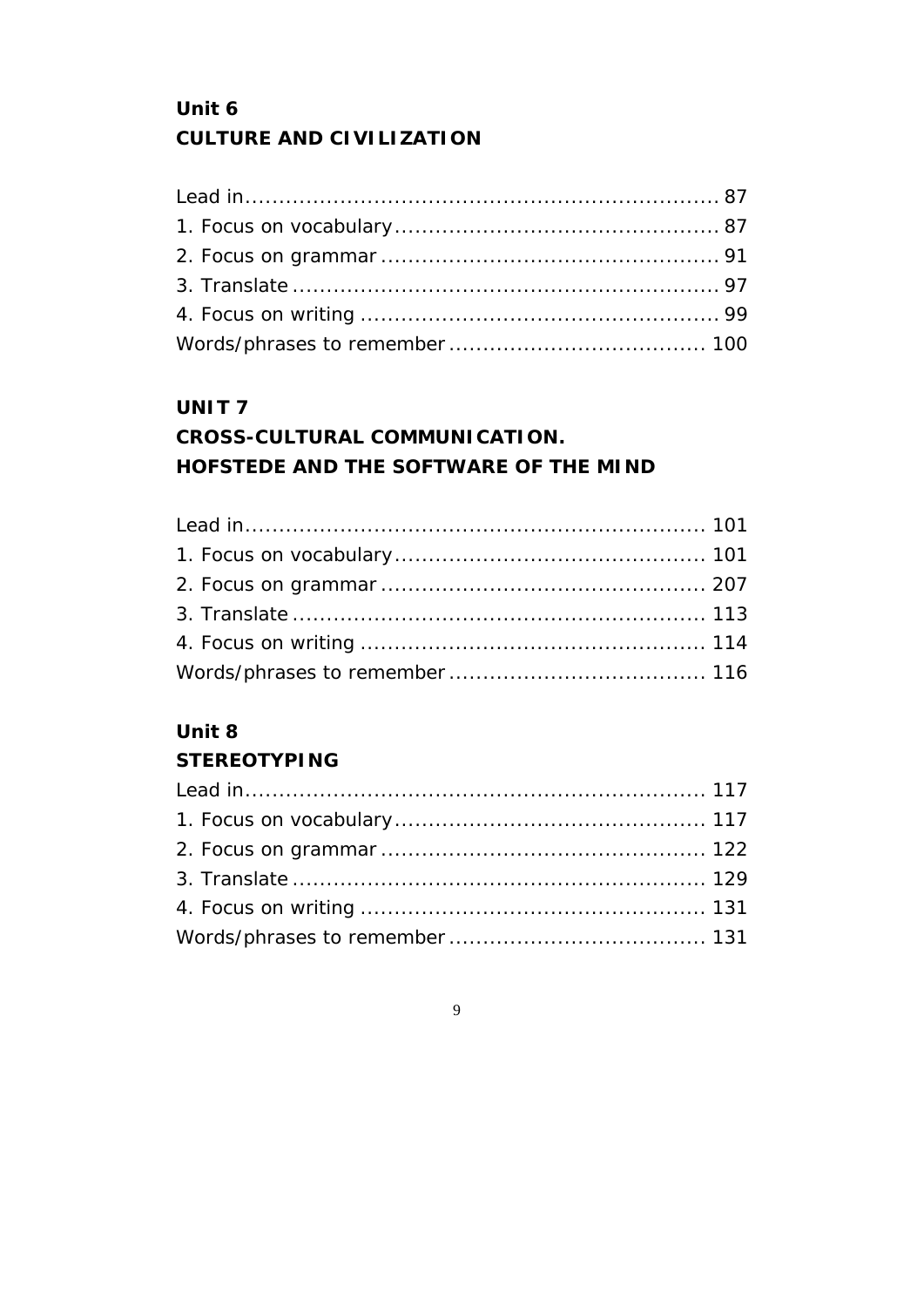# **Unit 6 CULTURE AND CIVILIZATION**

### **UNIT 7**

# **CROSS-CULTURAL COMMUNICATION. HOFSTEDE AND THE SOFTWARE OF THE MIND**

### **Unit 8**

### **STEREOTYPING**